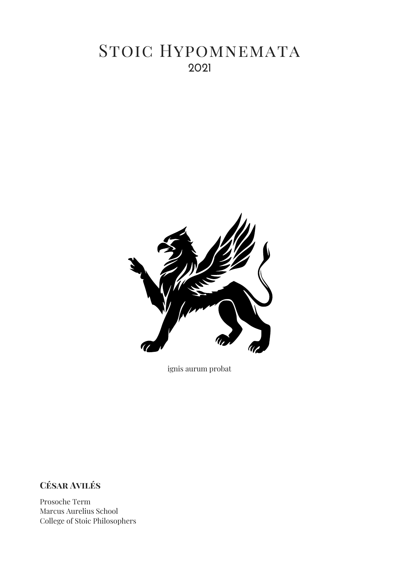# **2b21** STOIC HYPOMNEMATA



ignis aurum probat

**Céňar Aũiléň**

Prosoche Term Marcus Aurelius School College of Stoic Philosophers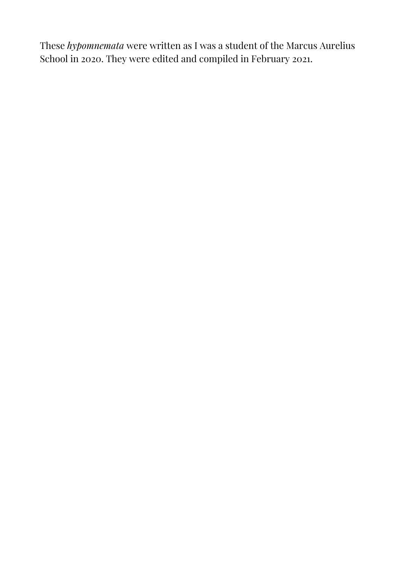These *hypomnemata* were written as I was a student of the Marcus Aurelius School in 2020. They were edited and compiled in February 2021.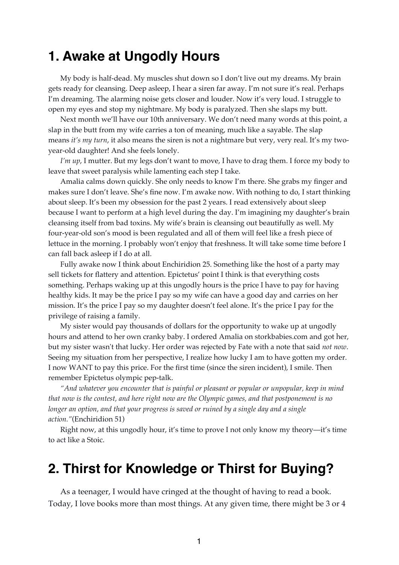## **1. Awake at Ungodly Hours**

My body is half-dead. My muscles shut down so I don't live out my dreams. My brain gets ready for cleansing. Deep asleep, I hear a siren far away. I'm not sure it's real. Perhaps I'm dreaming. The alarming noise gets closer and louder. Now it's very loud. I struggle to open my eyes and stop my nightmare. My body is paralyzed. Then she slaps my butt.

Next month we'll have our 10th anniversary. We don't need many words at this point, a slap in the butt from my wife carries a ton of meaning, much like a sayable. The slap means *it's my turn*, it also means the siren is not a nightmare but very, very real. It's my twoyear-old daughter! And she feels lonely.

*I'm up*, I mutter. But my legs don't want to move, I have to drag them. I force my body to leave that sweet paralysis while lamenting each step I take.

Amalia calms down quickly. She only needs to know I'm there. She grabs my finger and makes sure I don't leave. She's fine now. I'm awake now. With nothing to do, I start thinking about sleep. It's been my obsession for the past 2 years. I read extensively about sleep because I want to perform at a high level during the day. I'm imagining my daughter's brain cleansing itself from bad toxins. My wife's brain is cleansing out beautifully as well. My four-year-old son's mood is been regulated and all of them will feel like a fresh piece of lettuce in the morning. I probably won't enjoy that freshness. It will take some time before I can fall back asleep if I do at all.

Fully awake now I think about Enchiridion 25. Something like the host of a party may sell tickets for flattery and attention. Epictetus' point I think is that everything costs something. Perhaps waking up at this ungodly hours is the price I have to pay for having healthy kids. It may be the price I pay so my wife can have a good day and carries on her mission. It's the price I pay so my daughter doesn't feel alone. It's the price I pay for the privilege of raising a family.

My sister would pay thousands of dollars for the opportunity to wake up at ungodly hours and attend to her own cranky baby. I ordered Amalia on storkbabies.com and got her, but my sister wasn't that lucky. Her order was rejected by Fate with a note that said *not now*. Seeing my situation from her perspective, I realize how lucky I am to have gotten my order. I now WANT to pay this price. For the first time (since the siren incident), I smile. Then remember Epictetus olympic pep-talk.

*"And whatever you encounter that is painful or pleasant or popular or unpopular, keep in mind that now is the contest, and here right now are the Olympic games, and that postponement is no longer an option, and that your progress is saved or ruined by a single day and a single action."*(Enchiridion 51)

Right now, at this ungodly hour, it's time to prove I not only know my theory—it's time to act like a Stoic.

# **2. Thirst for Knowledge or Thirst for Buying?**

As a teenager, I would have cringed at the thought of having to read a book. Today, I love books more than most things. At any given time, there might be 3 or 4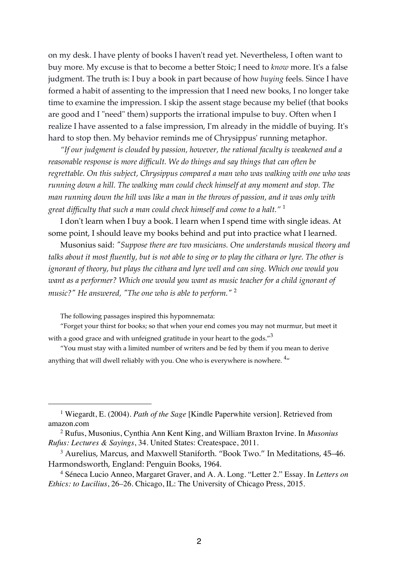on my desk. I have plenty of books I haven't read yet. Nevertheless, I often want to buy more. My excuse is that to become a better Stoic; I need to *know* more. It's a false judgment. The truth is: I buy a book in part because of how *buying* feels. Since I have formed a habit of assenting to the impression that I need new books, I no longer take time to examine the impression. I skip the assent stage because my belief (that books are good and I "need" them) supports the irrational impulse to buy. Often when I realize I have assented to a false impression, I'm already in the middle of buying. It's hard to stop then. My behavior reminds me of Chrysippus' running metaphor.

*"If our judgment is clouded by passion, however, the rational faculty is weakened and a reasonable response is more difficult. We do things and say things that can often be regrettable. On this subject, Chrysippus compared a man who was walking with one who was running down a hill. The walking man could check himself at any moment and stop. The man running down the hill was like a man in the throws of passion, and it was only with great difficulty that such a man could check himself and come to a halt."* <sup>1</sup>

I don't learn when I buy a book. I learn when I spend time with single ideas. At some point, I should leave my books behind and put into practice what I learned.

Musonius said: *"Suppose there are two musicians. One understands musical theory and talks about it most fluently, but is not able to sing or to play the cithara or lyre. The other is ignorant of theory, but plays the cithara and lyre well and can sing. Which one would you want as a performer? Which one would you want as music teacher for a child ignorant of music?" He answered, "The one who is able to perform."* <sup>2</sup>

The following passages inspired this hypomnemata:

"Forget your thirst for books; so that when your end comes you may not murmur, but meet it with a good grace and with unfeigned gratitude in your heart to the gods."<sup>3</sup>

"You must stay with a limited number of writers and be fed by them if you mean to derive anything that will dwell reliably with you. One who is everywhere is nowhere.  $4\pi$ 

<sup>1</sup> Wiegardt, E. (2004). *Path of the Sage* [Kindle Paperwhite version]. Retrieved from amazon.com

<sup>2</sup> Rufus, Musonius, Cynthia Ann Kent King, and William Braxton Irvine. In *Musonius Rufus: Lectures & Sayings*, 34. United States: Createspace, 2011.

<sup>3</sup> Aurelius, Marcus, and Maxwell Staniforth. "Book Two." In Meditations, 45–46. Harmondsworth, England: Penguin Books, 1964.

<sup>4</sup> Séneca Lucio Anneo, Margaret Graver, and A. A. Long. "Letter 2." Essay. In *Letters on Ethics: to Lucilius*, 26–26. Chicago, IL: The University of Chicago Press, 2015.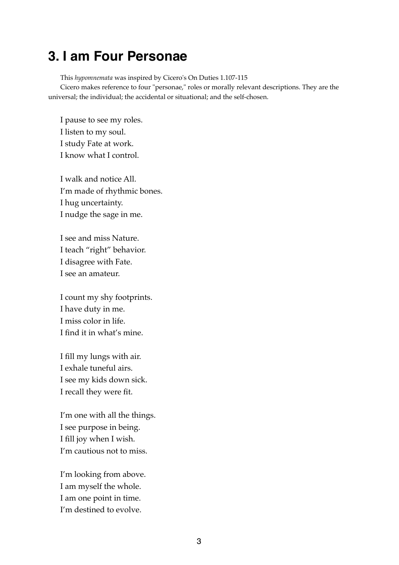# **3. I am Four Personae**

This *hypomnemata* was inspired by Cicero's On Duties 1.107-115

Cicero makes reference to four "personae," roles or morally relevant descriptions. They are the universal; the individual; the accidental or situational; and the self-chosen.

I pause to see my roles. I listen to my soul. I study Fate at work. I know what I control.

I walk and notice All. I'm made of rhythmic bones. I hug uncertainty. I nudge the sage in me.

I see and miss Nature. I teach "right" behavior. I disagree with Fate. I see an amateur.

I count my shy footprints. I have duty in me. I miss color in life. I find it in what's mine.

I fill my lungs with air. I exhale tuneful airs. I see my kids down sick. I recall they were fit.

I'm one with all the things. I see purpose in being. I fill joy when I wish. I'm cautious not to miss.

I'm looking from above. I am myself the whole. I am one point in time. I'm destined to evolve.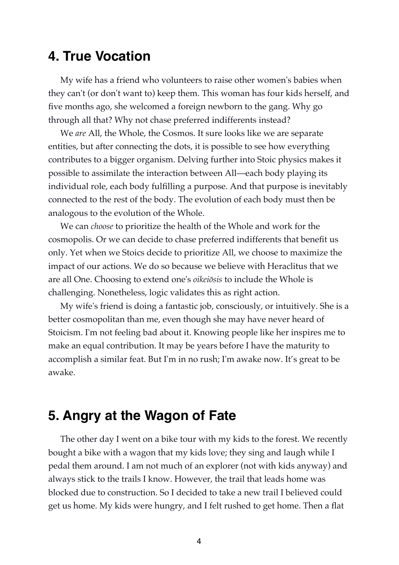### **4. True Vocation**

My wife has a friend who volunteers to raise other women's babies when they can't (or don't want to) keep them. This woman has four kids herself, and five months ago, she welcomed a foreign newborn to the gang. Why go through all that? Why not chase preferred indifferents instead?

We *are* All, the Whole, the Cosmos. It sure looks like we are separate entities, but after connecting the dots, it is possible to see how everything contributes to a bigger organism. Delving further into Stoic physics makes it possible to assimilate the interaction between All—each body playing its individual role, each body fulfilling a purpose. And that purpose is inevitably connected to the rest of the body. The evolution of each body must then be analogous to the evolution of the Whole.

We can *choose* to prioritize the health of the Whole and work for the cosmopolis. Or we can decide to chase preferred indifferents that benefit us only. Yet when we Stoics decide to prioritize All, we choose to maximize the impact of our actions. We do so because we believe with Heraclitus that we are all One. Choosing to extend one's *oikeiōsis* to include the Whole is challenging. Nonetheless, logic validates this as right action.

My wife's friend is doing a fantastic job, consciously, or intuitively. She is a better cosmopolitan than me, even though she may have never heard of Stoicism. I'm not feeling bad about it. Knowing people like her inspires me to make an equal contribution. It may be years before I have the maturity to accomplish a similar feat. But I'm in no rush; I'm awake now. It's great to be awake.

# **5. Angry at the Wagon of Fate**

The other day I went on a bike tour with my kids to the forest. We recently bought a bike with a wagon that my kids love; they sing and laugh while I pedal them around. I am not much of an explorer (not with kids anyway) and always stick to the trails I know. However, the trail that leads home was blocked due to construction. So I decided to take a new trail I believed could get us home. My kids were hungry, and I felt rushed to get home. Then a flat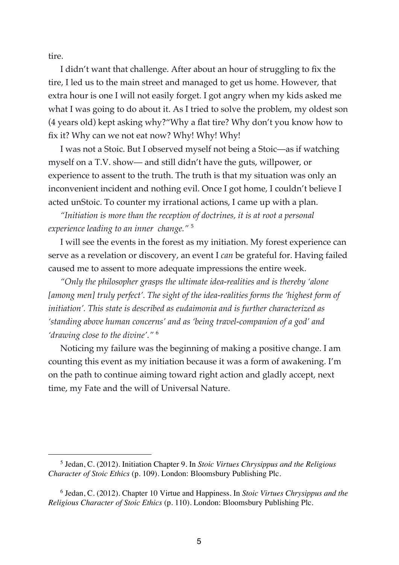tire.

I didn't want that challenge. After about an hour of struggling to fix the tire, I led us to the main street and managed to get us home. However, that extra hour is one I will not easily forget. I got angry when my kids asked me what I was going to do about it. As I tried to solve the problem, my oldest son (4 years old) kept asking why?"Why a flat tire? Why don't you know how to fix it? Why can we not eat now? Why! Why! Why!

I was not a Stoic. But I observed myself not being a Stoic—as if watching myself on a T.V. show— and still didn't have the guts, willpower, or experience to assent to the truth. The truth is that my situation was only an inconvenient incident and nothing evil. Once I got home, I couldn't believe I acted unStoic. To counter my irrational actions, I came up with a plan.

*"Initiation is more than the reception of doctrines, it is at root a personal experience leading to an inner change."* <sup>5</sup>

I will see the events in the forest as my initiation. My forest experience can serve as a revelation or discovery, an event I *can* be grateful for. Having failed caused me to assent to more adequate impressions the entire week.

*"Only the philosopher grasps the ultimate idea-realities and is thereby 'alone [among men] truly perfect'. The sight of the idea-realities forms the 'highest form of initiation'. This state is described as eudaimonia and is further characterized as 'standing above human concerns' and as 'being travel-companion of a god' and 'drawing close to the divine'."* <sup>6</sup>

Noticing my failure was the beginning of making a positive change. I am counting this event as my initiation because it was a form of awakening. I'm on the path to continue aiming toward right action and gladly accept, next time, my Fate and the will of Universal Nature.

<sup>5</sup> Jedan, C. (2012). Initiation Chapter 9. In *Stoic Virtues Chrysippus and the Religious Character of Stoic Ethics* (p. 109). London: Bloomsbury Publishing Plc.

<sup>6</sup> Jedan, C. (2012). Chapter 10 Virtue and Happiness. In *Stoic Virtues Chrysippus and the Religious Character of Stoic Ethics* (p. 110). London: Bloomsbury Publishing Plc.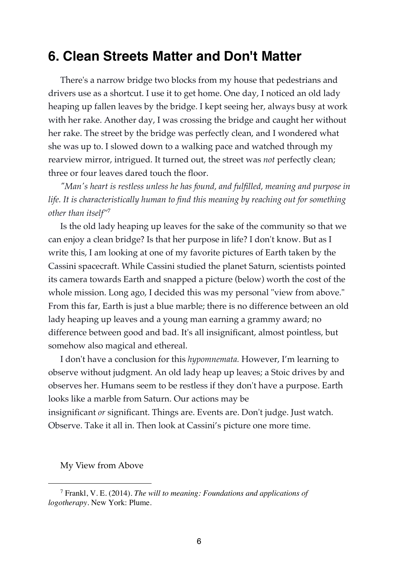# **6. Clean Streets Matter and Don't Matter**

There's a narrow bridge two blocks from my house that pedestrians and drivers use as a shortcut. I use it to get home. One day, I noticed an old lady heaping up fallen leaves by the bridge. I kept seeing her, always busy at work with her rake. Another day, I was crossing the bridge and caught her without her rake. The street by the bridge was perfectly clean, and I wondered what she was up to. I slowed down to a walking pace and watched through my rearview mirror, intrigued. It turned out, the street was *not* perfectly clean; three or four leaves dared touch the floor.

*"Man's heart is restless unless he has found, and fulfilled, meaning and purpose in life. It is characteristically human to find this meaning by reaching out for something other than itself"*<sup>7</sup>

Is the old lady heaping up leaves for the sake of the community so that we can enjoy a clean bridge? Is that her purpose in life? I don't know. But as I write this, I am looking at one of my favorite pictures of Earth taken by the Cassini spacecraft. While Cassini studied the planet Saturn, scientists pointed its camera towards Earth and snapped a picture (below) worth the cost of the whole mission. Long ago, I decided this was my personal "view from above." From this far, Earth is just a blue marble; there is no difference between an old lady heaping up leaves and a young man earning a grammy award; no difference between good and bad. It's all insignificant, almost pointless, but somehow also magical and ethereal.

I don't have a conclusion for this *hypomnemata.* However, I'm learning to observe without judgment. An old lady heap up leaves; a Stoic drives by and observes her. Humans seem to be restless if they don't have a purpose. Earth looks like a marble from Saturn. Our actions may be insignificant *or* significant. Things are. Events are. Don't judge. Just watch. Observe. Take it all in. Then look at Cassini's picture one more time.

My View from Above

<sup>7</sup> Frankl, V. E. (2014). *The will to meaning: Foundations and applications of logotherapy*. New York: Plume.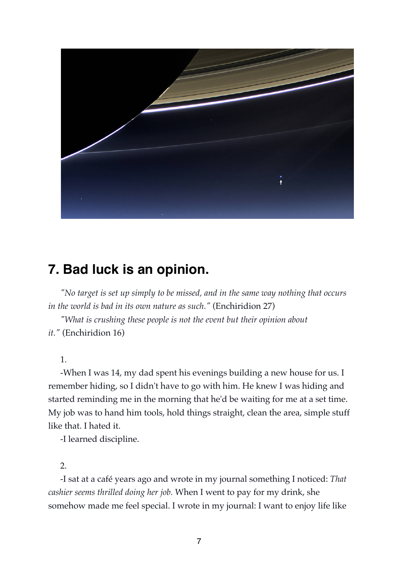

# **7. Bad luck is an opinion.**

*"No target is set up simply to be missed, and in the same way nothing that occurs in the world is bad in its own nature as such."* (Enchiridion 27)

*"What is crushing these people is not the event but their opinion about it."* (Enchiridion 16)

1.

-When I was 14, my dad spent his evenings building a new house for us. I remember hiding, so I didn't have to go with him. He knew I was hiding and started reminding me in the morning that he'd be waiting for me at a set time. My job was to hand him tools, hold things straight, clean the area, simple stuff like that. I hated it.

-I learned discipline.

### 2.

-I sat at a café years ago and wrote in my journal something I noticed: *That cashier seems thrilled doing her job.* When I went to pay for my drink, she somehow made me feel special. I wrote in my journal: I want to enjoy life like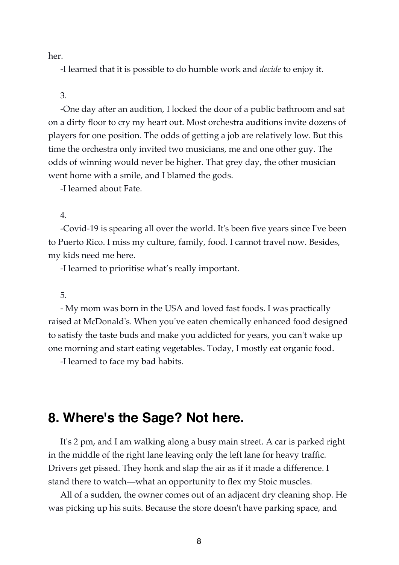her.

-I learned that it is possible to do humble work and *decide* to enjoy it.

### 3.

-One day after an audition, I locked the door of a public bathroom and sat on a dirty floor to cry my heart out. Most orchestra auditions invite dozens of players for one position. The odds of getting a job are relatively low. But this time the orchestra only invited two musicians, me and one other guy. The odds of winning would never be higher. That grey day, the other musician went home with a smile, and I blamed the gods.

-I learned about Fate.

### 4.

-Covid-19 is spearing all over the world. It's been five years since I've been to Puerto Rico. I miss my culture, family, food. I cannot travel now. Besides, my kids need me here.

-I learned to prioritise what's really important.

### 5.

- My mom was born in the USA and loved fast foods. I was practically raised at McDonald's. When you've eaten chemically enhanced food designed to satisfy the taste buds and make you addicted for years, you can't wake up one morning and start eating vegetables. Today, I mostly eat organic food.

-I learned to face my bad habits.

# **8. Where's the Sage? Not here.**

It's 2 pm, and I am walking along a busy main street. A car is parked right in the middle of the right lane leaving only the left lane for heavy traffic. Drivers get pissed. They honk and slap the air as if it made a difference. I stand there to watch—what an opportunity to flex my Stoic muscles.

All of a sudden, the owner comes out of an adjacent dry cleaning shop. He was picking up his suits. Because the store doesn't have parking space, and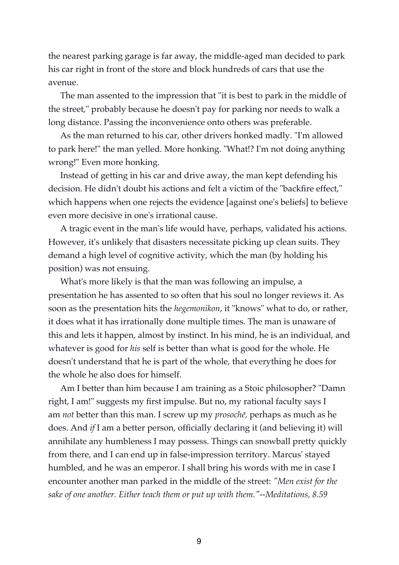the nearest parking garage is far away, the middle-aged man decided to park his car right in front of the store and block hundreds of cars that use the avenue.

The man assented to the impression that "it is best to park in the middle of the street," probably because he doesn't pay for parking nor needs to walk a long distance. Passing the inconvenience onto others was preferable.

As the man returned to his car, other drivers honked madly. "I'm allowed to park here!" the man yelled. More honking. "What!? I'm not doing anything wrong!" Even more honking.

Instead of getting in his car and drive away, the man kept defending his decision. He didn't doubt his actions and felt a victim of the "backfire effect," which happens when one rejects the evidence [against one's beliefs] to believe even more decisive in one's irrational cause.

A tragic event in the man's life would have, perhaps, validated his actions. However, it's unlikely that disasters necessitate picking up clean suits. They demand a high level of cognitive activity, which the man (by holding his position) was not ensuing.

What's more likely is that the man was following an impulse, a presentation he has assented to so often that his soul no longer reviews it. As soon as the presentation hits the *hegemonikon*, it "knows" what to do, or rather, it does what it has irrationally done multiple times. The man is unaware of this and lets it happen, almost by instinct. In his mind, he is an individual, and whatever is good for *his* self is better than what is good for the whole. He doesn't understand that he is part of the whole, that everything he does for the whole he also does for himself.

Am I better than him because I am training as a Stoic philosopher? "Damn right, I am!" suggests my first impulse. But no, my rational faculty says I am *not* better than this man. I screw up my *prosochē,* perhaps as much as he does. And *if* I am a better person, officially declaring it (and believing it) will annihilate any humbleness I may possess. Things can snowball pretty quickly from there, and I can end up in false-impression territory. Marcus' stayed humbled, and he was an emperor. I shall bring his words with me in case I encounter another man parked in the middle of the street: *"Men exist for the sake of one another. Either teach them or put up with them."--Meditations, 8.59*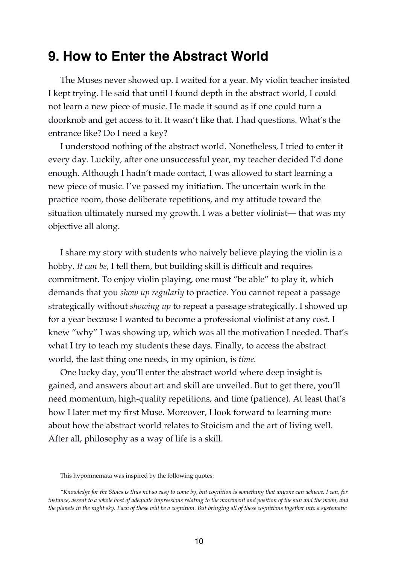# **9. How to Enter the Abstract World**

The Muses never showed up. I waited for a year. My violin teacher insisted I kept trying. He said that until I found depth in the abstract world, I could not learn a new piece of music. He made it sound as if one could turn a doorknob and get access to it. It wasn't like that. I had questions. What's the entrance like? Do I need a key?

I understood nothing of the abstract world. Nonetheless, I tried to enter it every day. Luckily, after one unsuccessful year, my teacher decided I'd done enough. Although I hadn't made contact, I was allowed to start learning a new piece of music. I've passed my initiation. The uncertain work in the practice room, those deliberate repetitions, and my attitude toward the situation ultimately nursed my growth. I was a better violinist— that was my objective all along.

I share my story with students who naively believe playing the violin is a hobby. *It can be*, I tell them, but building skill is difficult and requires commitment. To enjoy violin playing, one must "be able" to play it, which demands that you *show up regularly* to practice. You cannot repeat a passage strategically without *showing up* to repeat a passage strategically. I showed up for a year because I wanted to become a professional violinist at any cost. I knew "why" I was showing up, which was all the motivation I needed. That's what I try to teach my students these days. Finally, to access the abstract world, the last thing one needs, in my opinion, is *time.*

One lucky day, you'll enter the abstract world where deep insight is gained, and answers about art and skill are unveiled. But to get there, you'll need momentum, high-quality repetitions, and time (patience). At least that's how I later met my first Muse. Moreover, I look forward to learning more about how the abstract world relates to Stoicism and the art of living well. After all, philosophy as a way of life is a skill.

This hypomnemata was inspired by the following quotes:

*<sup>&</sup>quot;Knowledge for the Stoics is thus not so easy to come by, but cognition is something that anyone can achieve. I can, for instance, assent to a whole host of adequate impressions relating to the movement and position of the sun and the moon, and the planets in the night sky. Each of these will be a cognition. But bringing all of these cognitions together into a systematic*